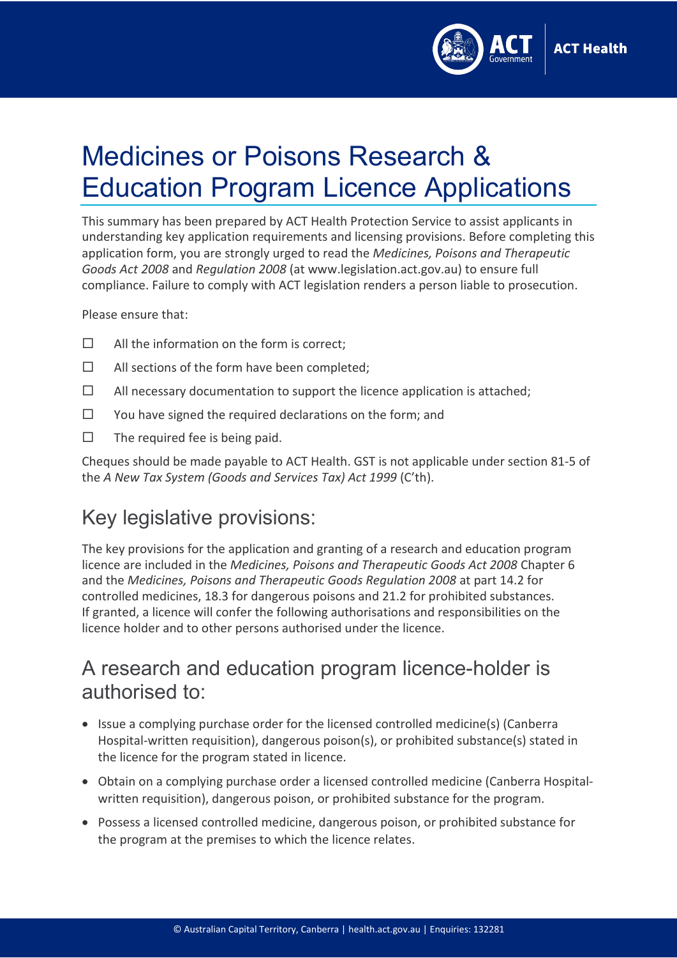

# Medicines or Poisons Research & Education Program Licence Applications

This summary has been prepared by ACT Health Protection Service to assist applicants in understanding key application requirements and licensing provisions. Before completing this application form, you are strongly urged to read the *Medicines, Poisons and Therapeutic Goods Act 2008* and *Regulation 2008* (a[t www.legislation.act.gov.au\)](http://www.legislation.act.gov.au/) to ensure full compliance. Failure to comply with ACT legislation renders a person liable to prosecution.

Please ensure that:

- $\Box$  All the information on the form is correct:
- $\Box$  All sections of the form have been completed;
- $\Box$  All necessary documentation to support the licence application is attached;
- $\square$  You have signed the required declarations on the form; and
- $\Box$  The required fee is being paid.

Cheques should be made payable to ACT Health. GST is not applicable under section 81-5 of the *A New Tax System (Goods and Services Tax) Act 1999* (C'th).

## Key legislative provisions:

The key provisions for the application and granting of a research and education program licence are included in the *Medicines, Poisons and Therapeutic Goods Act 2008* Chapter 6 and the *Medicines, Poisons and Therapeutic Goods Regulation 2008* at part 14.2 for controlled medicines, 18.3 for dangerous poisons and 21.2 for prohibited substances. If granted, a licence will confer the following authorisations and responsibilities on the licence holder and to other persons authorised under the licence.

#### A research and education program licence-holder is authorised to:

- Issue a complying purchase order for the licensed controlled medicine(s) (Canberra Hospital-written requisition), dangerous poison(s), or prohibited substance(s) stated in the licence for the program stated in licence.
- Obtain on a complying purchase order a licensed controlled medicine (Canberra Hospitalwritten requisition), dangerous poison, or prohibited substance for the program.
- Possess a licensed controlled medicine, dangerous poison, or prohibited substance for the program at the premises to which the licence relates.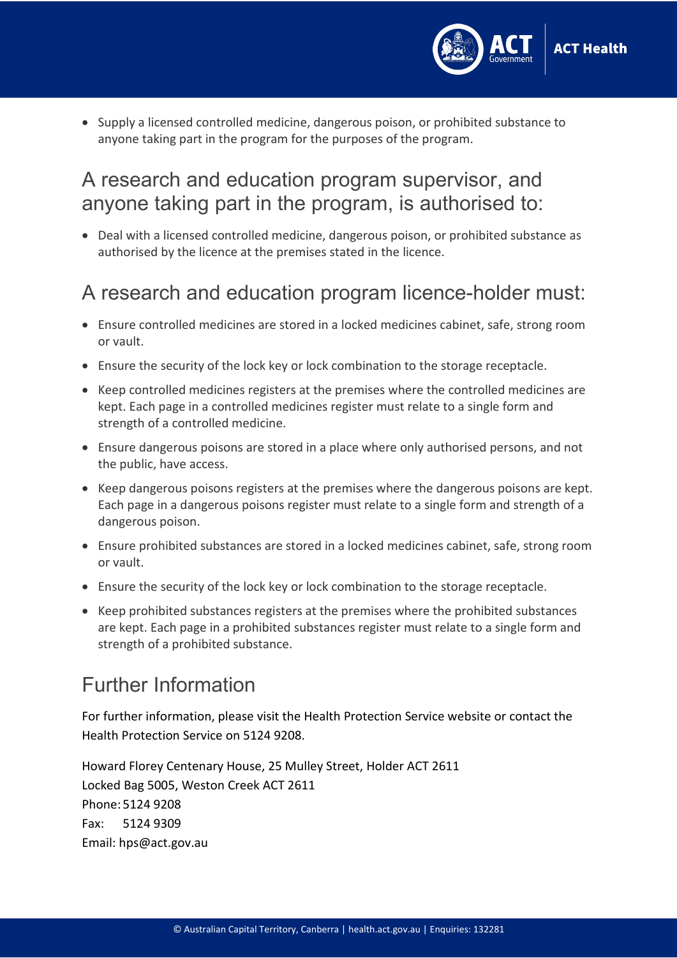

• Supply a licensed controlled medicine, dangerous poison, or prohibited substance to anyone taking part in the program for the purposes of the program.

#### A research and education program supervisor, and anyone taking part in the program, is authorised to:

• Deal with a licensed controlled medicine, dangerous poison, or prohibited substance as authorised by the licence at the premises stated in the licence.

### A research and education program licence-holder must:

- Ensure controlled medicines are stored in a locked medicines cabinet, safe, strong room or vault.
- Ensure the security of the lock key or lock combination to the storage receptacle.
- Keep controlled medicines registers at the premises where the controlled medicines are kept. Each page in a controlled medicines register must relate to a single form and strength of a controlled medicine.
- Ensure dangerous poisons are stored in a place where only authorised persons, and not the public, have access.
- Keep dangerous poisons registers at the premises where the dangerous poisons are kept. Each page in a dangerous poisons register must relate to a single form and strength of a dangerous poison.
- Ensure prohibited substances are stored in a locked medicines cabinet, safe, strong room or vault.
- Ensure the security of the lock key or lock combination to the storage receptacle.
- Keep prohibited substances registers at the premises where the prohibited substances are kept. Each page in a prohibited substances register must relate to a single form and strength of a prohibited substance.

# Further Information

For further information, please visit the [Health Protection Service](https://www.health.act.gov.au/businesses/medicine-and-poisons-licences-and-permits) website or contact the Health Protection Service on 5124 9208.

Howard Florey Centenary House, 25 Mulley Street, Holder ACT 2611 Locked Bag 5005, Weston Creek ACT 2611 Phone: 5124 9208 Fax: 5124 9309 Email: [hps@act.gov.au](mailto:hps@act.gov.au)